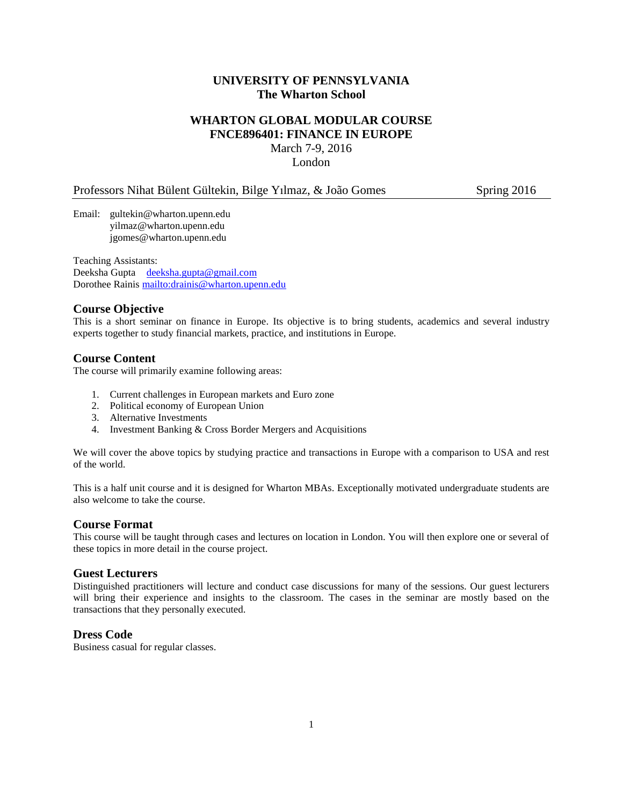# **UNIVERSITY OF PENNSYLVANIA The Wharton School**

# **WHARTON GLOBAL MODULAR COURSE FNCE896401: FINANCE IN EUROPE** March 7-9, 2016

London

#### Professors Nihat Bülent Gültekin, Bilge Yılmaz, & João Gomes Spring 2016

Email: [gultekin@wharton.upenn.edu](mailto:gultekin@wharton.upenn.edu) yilmaz@wharton.upenn.edu jgomes@wharton.upenn.edu

Teaching Assistants: Deeksha Gupta [deeksha.gupta@gmail.com](mailto:deeksha.gupta@gmail.com) Dorothee Rainis<mailto:drainis@wharton.upenn.edu>

## **Course Objective**

This is a short seminar on finance in Europe. Its objective is to bring students, academics and several industry experts together to study financial markets, practice, and institutions in Europe.

### **Course Content**

The course will primarily examine following areas:

- 1. Current challenges in European markets and Euro zone
- 2. Political economy of European Union
- 3. Alternative Investments
- 4. Investment Banking & Cross Border Mergers and Acquisitions

We will cover the above topics by studying practice and transactions in Europe with a comparison to USA and rest of the world.

This is a half unit course and it is designed for Wharton MBAs. Exceptionally motivated undergraduate students are also welcome to take the course.

#### **Course Format**

This course will be taught through cases and lectures on location in London. You will then explore one or several of these topics in more detail in the course project.

#### **Guest Lecturers**

Distinguished practitioners will lecture and conduct case discussions for many of the sessions. Our guest lecturers will bring their experience and insights to the classroom. The cases in the seminar are mostly based on the transactions that they personally executed.

## **Dress Code**

Business casual for regular classes.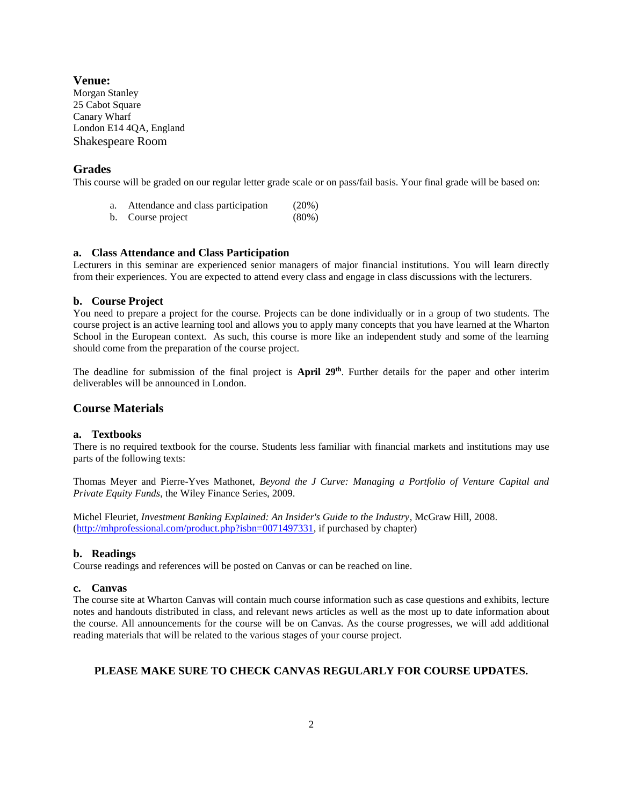**Venue:** Morgan Stanley 25 Cabot Square Canary Wharf London E14 4QA, England Shakespeare Room

#### **Grades**

This course will be graded on our regular letter grade scale or on pass/fail basis. Your final grade will be based on:

- a. Attendance and class participation (20%)
- b. Course project (80%)

#### **a. Class Attendance and Class Participation**

Lecturers in this seminar are experienced senior managers of major financial institutions. You will learn directly from their experiences. You are expected to attend every class and engage in class discussions with the lecturers.

#### **b. Course Project**

You need to prepare a project for the course. Projects can be done individually or in a group of two students. The course project is an active learning tool and allows you to apply many concepts that you have learned at the Wharton School in the European context. As such, this course is more like an independent study and some of the learning should come from the preparation of the course project.

The deadline for submission of the final project is **April 29th** . Further details for the paper and other interim deliverables will be announced in London.

## **Course Materials**

### **a. Textbooks**

There is no required textbook for the course. Students less familiar with financial markets and institutions may use parts of the following texts:

Thomas Meyer and Pierre-Yves Mathonet, *Beyond the J Curve: Managing a Portfolio of Venture Capital and Private Equity Funds*, the Wiley Finance Series, 2009.

Michel Fleuriet, *Investment Banking Explained: An Insider's Guide to the Industry*, McGraw Hill, 2008. [\(http://mhprofessional.com/product.php?isbn=0071497331,](http://mhprofessional.com/product.php?isbn=0071497331) if purchased by chapter)

#### **b. Readings**

Course readings and references will be posted on Canvas or can be reached on line.

#### **c. Canvas**

The course site at Wharton Canvas will contain much course information such as case questions and exhibits, lecture notes and handouts distributed in class, and relevant news articles as well as the most up to date information about the course. All announcements for the course will be on Canvas. As the course progresses, we will add additional reading materials that will be related to the various stages of your course project.

# **PLEASE MAKE SURE TO CHECK CANVAS REGULARLY FOR COURSE UPDATES.**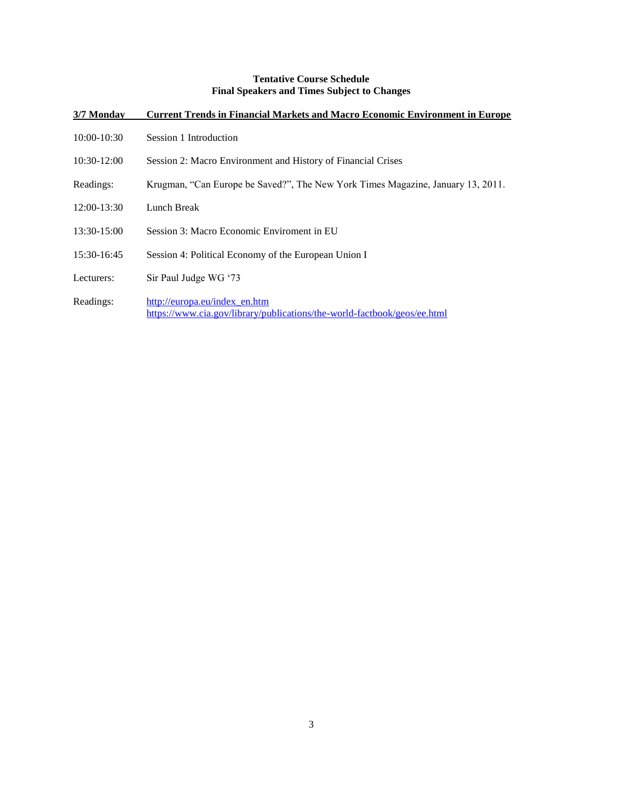# **Tentative Course Schedule Final Speakers and Times Subject to Changes**

| 3/7 Monday  | <b>Current Trends in Financial Markets and Macro Economic Environment in Europe</b>                       |
|-------------|-----------------------------------------------------------------------------------------------------------|
| 10:00-10:30 | Session 1 Introduction                                                                                    |
| 10:30-12:00 | Session 2: Macro Environment and History of Financial Crises                                              |
| Readings:   | Krugman, "Can Europe be Saved?", The New York Times Magazine, January 13, 2011.                           |
| 12:00-13:30 | Lunch Break                                                                                               |
| 13:30-15:00 | Session 3: Macro Economic Enviroment in EU                                                                |
| 15:30-16:45 | Session 4: Political Economy of the European Union I                                                      |
| Lecturers:  | Sir Paul Judge WG '73                                                                                     |
| Readings:   | http://europa.eu/index en.htm<br>https://www.cia.gov/library/publications/the-world-factbook/geos/ee.html |